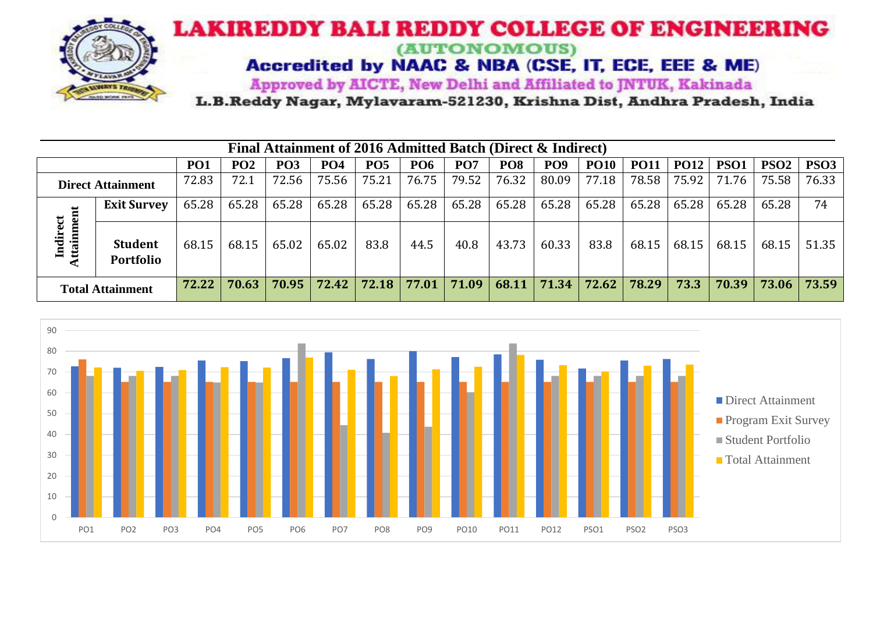

## **LAKIREDDY BALI REDDY COLLEGE OF ENGINEERING** (AUTONOMOUS)

Accredited by NAAC & NBA (CSE, IT, ECE, EEE & ME)

Approved by AICTE, New Delhi and Affiliated to JNTUK, Kakinada

L.B.Reddy Nagar, Mylavaram-521230, Krishna Dist, Andhra Pradesh, India

| Final Attainment of 2016 Admitted Batch (Direct & Indirect) |                                                                                                                                                                                                                                   |       |       |       |       |       |                         |       |       |               |       |       |       |       |       |       |
|-------------------------------------------------------------|-----------------------------------------------------------------------------------------------------------------------------------------------------------------------------------------------------------------------------------|-------|-------|-------|-------|-------|-------------------------|-------|-------|---------------|-------|-------|-------|-------|-------|-------|
|                                                             | <b>PO6</b><br>PO <sub>7</sub><br>PO <sub>8</sub><br>PO <sub>9</sub><br>PSO <sub>2</sub><br>PO2<br><b>PO5</b><br><b>PO10</b><br><b>PO12</b><br>PSO <sub>1</sub><br>PO <sub>1</sub><br>PO <sub>3</sub><br><b>PO4</b><br><b>PO11</b> |       |       |       |       |       |                         |       |       |               |       |       | PSO3  |       |       |       |
|                                                             | <b>Direct Attainment</b>                                                                                                                                                                                                          | 72.83 | 72.1  | 72.56 | 75.56 | 75.21 | 76.75                   | 79.52 | 76.32 | 80.09         | 77.18 | 78.58 | 75.92 | 71.76 | 75.58 | 76.33 |
| 5<br>Indirect<br>ttainm                                     | <b>Exit Survey</b>                                                                                                                                                                                                                | 65.28 | 65.28 | 65.28 | 65.28 | 65.28 | 65.28                   | 65.28 | 65.28 | 65.28         | 65.28 | 65.28 | 65.28 | 65.28 | 65.28 | 74    |
|                                                             | <b>Student</b><br>Portfolio                                                                                                                                                                                                       | 68.15 | 68.15 | 65.02 | 65.02 | 83.8  | 44.5                    | 40.8  | 43.73 | 60.33         | 83.8  | 68.15 | 68.15 | 68.15 | 68.15 | 51.35 |
| <b>Total Attainment</b>                                     |                                                                                                                                                                                                                                   | 72.22 | 70.63 | 70.95 | 72.42 |       | $72.18$   77.01   71.09 |       |       | $68.11$ 71.34 | 72.62 | 78.29 | 73.3  | 70.39 | 73.06 | 73.59 |

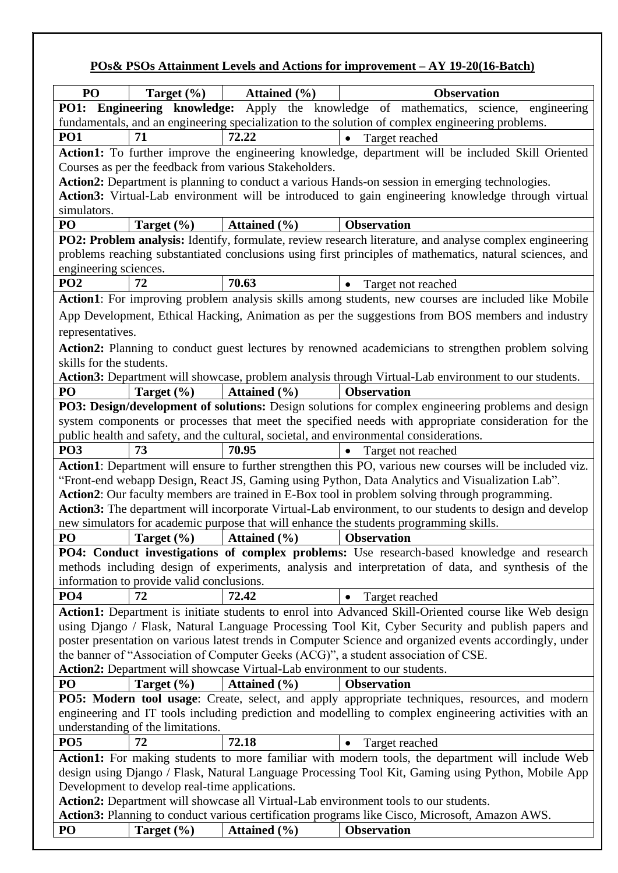## **POs& PSOs Attainment Levels and Actions for improvement – AY 19-20(16-Batch)**

| P <sub>O</sub>                                                                                    | Target (%)                                                                                                                                                                                             | Attained $(\% )$                                                           | <b>Observation</b>                                                                                           |  |  |  |  |  |
|---------------------------------------------------------------------------------------------------|--------------------------------------------------------------------------------------------------------------------------------------------------------------------------------------------------------|----------------------------------------------------------------------------|--------------------------------------------------------------------------------------------------------------|--|--|--|--|--|
| <b>PO1:</b>                                                                                       |                                                                                                                                                                                                        |                                                                            | Engineering knowledge: Apply the knowledge of mathematics, science, engineering                              |  |  |  |  |  |
|                                                                                                   |                                                                                                                                                                                                        |                                                                            | fundamentals, and an engineering specialization to the solution of complex engineering problems.             |  |  |  |  |  |
| PO <sub>1</sub>                                                                                   | 71                                                                                                                                                                                                     | 72.22                                                                      | Target reached                                                                                               |  |  |  |  |  |
|                                                                                                   | Action1: To further improve the engineering knowledge, department will be included Skill Oriented                                                                                                      |                                                                            |                                                                                                              |  |  |  |  |  |
|                                                                                                   |                                                                                                                                                                                                        | Courses as per the feedback from various Stakeholders.                     |                                                                                                              |  |  |  |  |  |
|                                                                                                   |                                                                                                                                                                                                        |                                                                            | Action2: Department is planning to conduct a various Hands-on session in emerging technologies.              |  |  |  |  |  |
| Action3: Virtual-Lab environment will be introduced to gain engineering knowledge through virtual |                                                                                                                                                                                                        |                                                                            |                                                                                                              |  |  |  |  |  |
| simulators.                                                                                       |                                                                                                                                                                                                        |                                                                            |                                                                                                              |  |  |  |  |  |
| PO                                                                                                | Target $(\% )$                                                                                                                                                                                         | Attained (%)                                                               | <b>Observation</b>                                                                                           |  |  |  |  |  |
|                                                                                                   |                                                                                                                                                                                                        |                                                                            | PO2: Problem analysis: Identify, formulate, review research literature, and analyse complex engineering      |  |  |  |  |  |
|                                                                                                   |                                                                                                                                                                                                        |                                                                            | problems reaching substantiated conclusions using first principles of mathematics, natural sciences, and     |  |  |  |  |  |
| engineering sciences.                                                                             |                                                                                                                                                                                                        |                                                                            |                                                                                                              |  |  |  |  |  |
| PO <sub>2</sub>                                                                                   | 72                                                                                                                                                                                                     | 70.63                                                                      | $\bullet$<br>Target not reached                                                                              |  |  |  |  |  |
|                                                                                                   |                                                                                                                                                                                                        |                                                                            | Action1: For improving problem analysis skills among students, new courses are included like Mobile          |  |  |  |  |  |
|                                                                                                   |                                                                                                                                                                                                        |                                                                            | App Development, Ethical Hacking, Animation as per the suggestions from BOS members and industry             |  |  |  |  |  |
| representatives.                                                                                  |                                                                                                                                                                                                        |                                                                            |                                                                                                              |  |  |  |  |  |
|                                                                                                   |                                                                                                                                                                                                        |                                                                            | Action2: Planning to conduct guest lectures by renowned academicians to strengthen problem solving           |  |  |  |  |  |
| skills for the students.                                                                          |                                                                                                                                                                                                        |                                                                            |                                                                                                              |  |  |  |  |  |
|                                                                                                   |                                                                                                                                                                                                        |                                                                            | Action3: Department will showcase, problem analysis through Virtual-Lab environment to our students.         |  |  |  |  |  |
| PO                                                                                                | Target $(\% )$                                                                                                                                                                                         | Attained (%)                                                               | <b>Observation</b>                                                                                           |  |  |  |  |  |
|                                                                                                   |                                                                                                                                                                                                        |                                                                            | PO3: Design/development of solutions: Design solutions for complex engineering problems and design           |  |  |  |  |  |
|                                                                                                   |                                                                                                                                                                                                        |                                                                            | system components or processes that meet the specified needs with appropriate consideration for the          |  |  |  |  |  |
|                                                                                                   |                                                                                                                                                                                                        |                                                                            | public health and safety, and the cultural, societal, and environmental considerations.                      |  |  |  |  |  |
| PO <sub>3</sub>                                                                                   | 73                                                                                                                                                                                                     | 70.95                                                                      | Target not reached<br>$\bullet$                                                                              |  |  |  |  |  |
|                                                                                                   |                                                                                                                                                                                                        |                                                                            | Action1: Department will ensure to further strengthen this PO, various new courses will be included viz.     |  |  |  |  |  |
|                                                                                                   |                                                                                                                                                                                                        |                                                                            | "Front-end webapp Design, React JS, Gaming using Python, Data Analytics and Visualization Lab".              |  |  |  |  |  |
|                                                                                                   |                                                                                                                                                                                                        |                                                                            | Action2: Our faculty members are trained in E-Box tool in problem solving through programming.               |  |  |  |  |  |
|                                                                                                   |                                                                                                                                                                                                        |                                                                            | Action3: The department will incorporate Virtual-Lab environment, to our students to design and develop      |  |  |  |  |  |
| PO                                                                                                | Target $(\% )$                                                                                                                                                                                         | Attained $(\% )$                                                           | new simulators for academic purpose that will enhance the students programming skills.<br><b>Observation</b> |  |  |  |  |  |
|                                                                                                   |                                                                                                                                                                                                        |                                                                            | PO4: Conduct investigations of complex problems: Use research-based knowledge and research                   |  |  |  |  |  |
|                                                                                                   |                                                                                                                                                                                                        |                                                                            | methods including design of experiments, analysis and interpretation of data, and synthesis of the           |  |  |  |  |  |
|                                                                                                   | information to provide valid conclusions.                                                                                                                                                              |                                                                            |                                                                                                              |  |  |  |  |  |
| PO <sub>4</sub>                                                                                   | 72                                                                                                                                                                                                     | 72.42                                                                      | Target reached<br>$\bullet$                                                                                  |  |  |  |  |  |
|                                                                                                   |                                                                                                                                                                                                        |                                                                            | Action1: Department is initiate students to enrol into Advanced Skill-Oriented course like Web design        |  |  |  |  |  |
|                                                                                                   |                                                                                                                                                                                                        |                                                                            | using Django / Flask, Natural Language Processing Tool Kit, Cyber Security and publish papers and            |  |  |  |  |  |
|                                                                                                   |                                                                                                                                                                                                        |                                                                            | poster presentation on various latest trends in Computer Science and organized events accordingly, under     |  |  |  |  |  |
|                                                                                                   |                                                                                                                                                                                                        |                                                                            | the banner of "Association of Computer Geeks (ACG)", a student association of CSE.                           |  |  |  |  |  |
|                                                                                                   |                                                                                                                                                                                                        | Action2: Department will showcase Virtual-Lab environment to our students. |                                                                                                              |  |  |  |  |  |
| PO                                                                                                | Target (%)                                                                                                                                                                                             | Attained $(\% )$                                                           | <b>Observation</b>                                                                                           |  |  |  |  |  |
|                                                                                                   |                                                                                                                                                                                                        |                                                                            | PO5: Modern tool usage: Create, select, and apply appropriate techniques, resources, and modern              |  |  |  |  |  |
|                                                                                                   |                                                                                                                                                                                                        |                                                                            | engineering and IT tools including prediction and modelling to complex engineering activities with an        |  |  |  |  |  |
|                                                                                                   | understanding of the limitations.                                                                                                                                                                      |                                                                            |                                                                                                              |  |  |  |  |  |
| PO <sub>5</sub>                                                                                   | 72                                                                                                                                                                                                     | 72.18                                                                      | Target reached<br>$\bullet$                                                                                  |  |  |  |  |  |
|                                                                                                   |                                                                                                                                                                                                        |                                                                            |                                                                                                              |  |  |  |  |  |
|                                                                                                   | Action1: For making students to more familiar with modern tools, the department will include Web<br>design using Django / Flask, Natural Language Processing Tool Kit, Gaming using Python, Mobile App |                                                                            |                                                                                                              |  |  |  |  |  |
|                                                                                                   | Development to develop real-time applications.                                                                                                                                                         |                                                                            |                                                                                                              |  |  |  |  |  |
|                                                                                                   |                                                                                                                                                                                                        |                                                                            | Action2: Department will showcase all Virtual-Lab environment tools to our students.                         |  |  |  |  |  |
|                                                                                                   |                                                                                                                                                                                                        |                                                                            | <b>Action3:</b> Planning to conduct various certification programs like Cisco, Microsoft, Amazon AWS.        |  |  |  |  |  |
| PO                                                                                                | Target $(\% )$                                                                                                                                                                                         | Attained $(\% )$                                                           | <b>Observation</b>                                                                                           |  |  |  |  |  |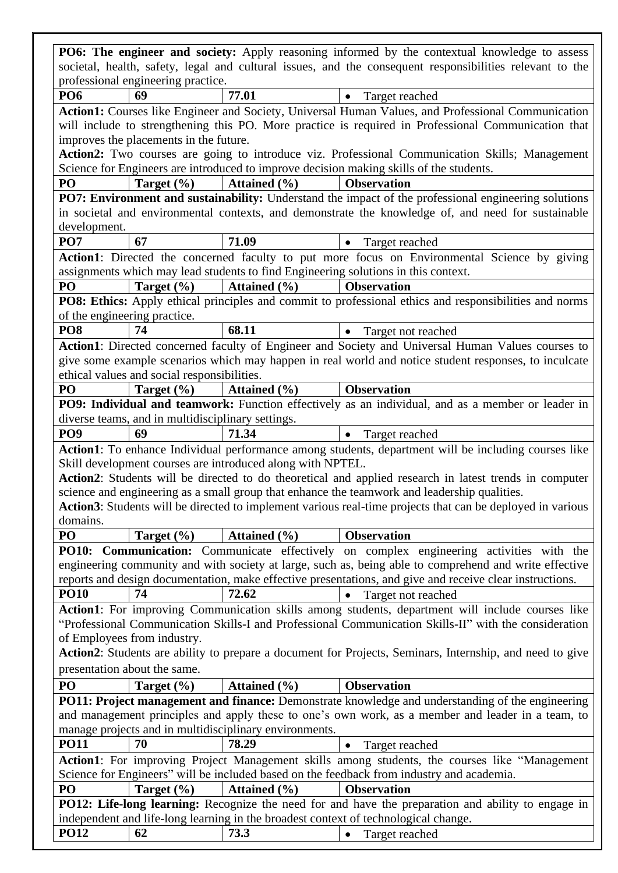|                                 |                                                   |                                                            | PO6: The engineer and society: Apply reasoning informed by the contextual knowledge to assess                  |
|---------------------------------|---------------------------------------------------|------------------------------------------------------------|----------------------------------------------------------------------------------------------------------------|
|                                 |                                                   |                                                            | societal, health, safety, legal and cultural issues, and the consequent responsibilities relevant to the       |
|                                 | professional engineering practice.                |                                                            |                                                                                                                |
| PO <sub>6</sub>                 | 69                                                | 77.01                                                      | Target reached<br>٠                                                                                            |
|                                 |                                                   |                                                            | Action1: Courses like Engineer and Society, Universal Human Values, and Professional Communication             |
|                                 |                                                   |                                                            | will include to strengthening this PO. More practice is required in Professional Communication that            |
|                                 | improves the placements in the future.            |                                                            |                                                                                                                |
|                                 |                                                   |                                                            | Action2: Two courses are going to introduce viz. Professional Communication Skills; Management                 |
|                                 |                                                   |                                                            | Science for Engineers are introduced to improve decision making skills of the students.                        |
| PO                              | Target $(\% )$                                    | Attained $(\% )$                                           | <b>Observation</b>                                                                                             |
|                                 |                                                   |                                                            | PO7: Environment and sustainability: Understand the impact of the professional engineering solutions           |
|                                 |                                                   |                                                            | in societal and environmental contexts, and demonstrate the knowledge of, and need for sustainable             |
| development.<br>PO <sub>7</sub> | 67                                                | 71.09                                                      | $\bullet$                                                                                                      |
|                                 |                                                   |                                                            | Target reached<br>Action1: Directed the concerned faculty to put more focus on Environmental Science by giving |
|                                 |                                                   |                                                            | assignments which may lead students to find Engineering solutions in this context.                             |
| PO                              | Target $(\% )$                                    | Attained $(\% )$                                           | <b>Observation</b>                                                                                             |
|                                 |                                                   |                                                            | PO8: Ethics: Apply ethical principles and commit to professional ethics and responsibilities and norms         |
|                                 | of the engineering practice.                      |                                                            |                                                                                                                |
| PO <sub>8</sub>                 | 74                                                | 68.11                                                      | Target not reached<br>$\bullet$                                                                                |
|                                 |                                                   |                                                            | Action1: Directed concerned faculty of Engineer and Society and Universal Human Values courses to              |
|                                 |                                                   |                                                            | give some example scenarios which may happen in real world and notice student responses, to inculcate          |
|                                 | ethical values and social responsibilities.       |                                                            |                                                                                                                |
| PO                              | Target $(\% )$                                    | Attained $(\% )$                                           | <b>Observation</b>                                                                                             |
|                                 |                                                   |                                                            | PO9: Individual and teamwork: Function effectively as an individual, and as a member or leader in              |
|                                 | diverse teams, and in multidisciplinary settings. |                                                            |                                                                                                                |
| PO <sub>9</sub>                 | 69                                                | 71.34                                                      | Target reached<br>$\bullet$                                                                                    |
|                                 |                                                   |                                                            | Action1: To enhance Individual performance among students, department will be including courses like           |
|                                 |                                                   | Skill development courses are introduced along with NPTEL. |                                                                                                                |
|                                 |                                                   |                                                            | Action2: Students will be directed to do theoretical and applied research in latest trends in computer         |
|                                 |                                                   |                                                            | science and engineering as a small group that enhance the teamwork and leadership qualities.                   |
| domains.                        |                                                   |                                                            | Action3: Students will be directed to implement various real-time projects that can be deployed in various     |
| PO                              | Target $(\% )$                                    | Attained $(\% )$                                           | <b>Observation</b>                                                                                             |
|                                 |                                                   |                                                            | <b>PO10: Communication:</b> Communicate effectively on complex engineering activities with the                 |
|                                 |                                                   |                                                            | engineering community and with society at large, such as, being able to comprehend and write effective         |
|                                 |                                                   |                                                            | reports and design documentation, make effective presentations, and give and receive clear instructions.       |
| <b>PO10</b>                     | 74                                                | 72.62                                                      | Target not reached<br>$\bullet$                                                                                |
|                                 |                                                   |                                                            | Action1: For improving Communication skills among students, department will include courses like               |
|                                 |                                                   |                                                            | "Professional Communication Skills-I and Professional Communication Skills-II" with the consideration          |
|                                 | of Employees from industry.                       |                                                            |                                                                                                                |
|                                 |                                                   |                                                            | Action2: Students are ability to prepare a document for Projects, Seminars, Internship, and need to give       |
|                                 | presentation about the same.                      |                                                            |                                                                                                                |
| PO                              | Target $(\% )$                                    | Attained $(\% )$                                           | <b>Observation</b>                                                                                             |
|                                 |                                                   |                                                            | PO11: Project management and finance: Demonstrate knowledge and understanding of the engineering               |
|                                 |                                                   |                                                            | and management principles and apply these to one's own work, as a member and leader in a team, to              |
|                                 |                                                   | manage projects and in multidisciplinary environments.     |                                                                                                                |
| <b>PO11</b>                     | 70                                                | 78.29                                                      | Target reached<br>$\bullet$                                                                                    |
|                                 |                                                   |                                                            | Action1: For improving Project Management skills among students, the courses like "Management"                 |
|                                 |                                                   |                                                            | Science for Engineers" will be included based on the feedback from industry and academia.                      |
| PO                              | Target $(\% )$                                    | Attained $(\% )$                                           | <b>Observation</b>                                                                                             |
|                                 |                                                   |                                                            | PO12: Life-long learning: Recognize the need for and have the preparation and ability to engage in             |
| <b>PO12</b>                     |                                                   |                                                            | independent and life-long learning in the broadest context of technological change.                            |
|                                 | 62                                                | 73.3                                                       | Target reached                                                                                                 |